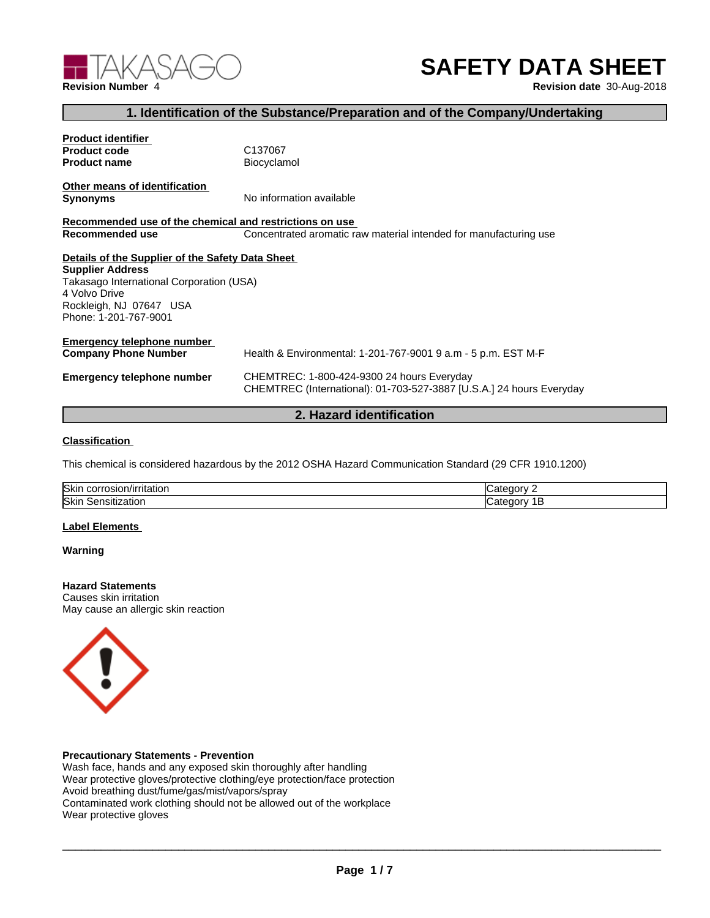

# **SAFETY DATA SHEET**

## **1. Identification of the Substance/Preparation and of the Company/Undertaking**

| <b>Product identifier</b>                                                                                                                                                                    |                                                                                                                    |
|----------------------------------------------------------------------------------------------------------------------------------------------------------------------------------------------|--------------------------------------------------------------------------------------------------------------------|
| <b>Product code</b>                                                                                                                                                                          | C137067                                                                                                            |
| <b>Product name</b>                                                                                                                                                                          | Biocyclamol                                                                                                        |
| Other means of identification                                                                                                                                                                | No information available                                                                                           |
| Synonyms                                                                                                                                                                                     |                                                                                                                    |
| Recommended use of the chemical and restrictions on use                                                                                                                                      |                                                                                                                    |
| Recommended use                                                                                                                                                                              | Concentrated aromatic raw material intended for manufacturing use                                                  |
| Details of the Supplier of the Safety Data Sheet<br><b>Supplier Address</b><br>Takasago International Corporation (USA)<br>4 Volvo Drive<br>Rockleigh, NJ 07647 USA<br>Phone: 1-201-767-9001 |                                                                                                                    |
| Emergency telephone number<br>Company Phone Number                                                                                                                                           | Health & Environmental: 1-201-767-9001 9 a.m - 5 p.m. EST M-F                                                      |
| Emergency telephone number                                                                                                                                                                   | CHEMTREC: 1-800-424-9300 24 hours Everyday<br>CHEMTREC (International): 01-703-527-3887 [U.S.A.] 24 hours Everyday |
|                                                                                                                                                                                              |                                                                                                                    |

### **2. Hazard identification**

#### **Classification**

This chemical is considered hazardous by the 2012 OSHA Hazard Communication Standard (29 CFR 1910.1200)

| <b>Skin</b><br>πaποι<br>יי   |  |
|------------------------------|--|
| <b>Skin</b><br>auu.<br>שווסו |  |

#### **Label Elements**

#### **Warning**

#### **Hazard Statements** Causes skin irritation

May cause an allergic skin reaction



#### **Precautionary Statements - Prevention**

Wash face, hands and any exposed skin thoroughly after handling Wear protective gloves/protective clothing/eye protection/face protection Avoid breathing dust/fume/gas/mist/vapors/spray Contaminated work clothing should not be allowed out of the workplace Wear protective gloves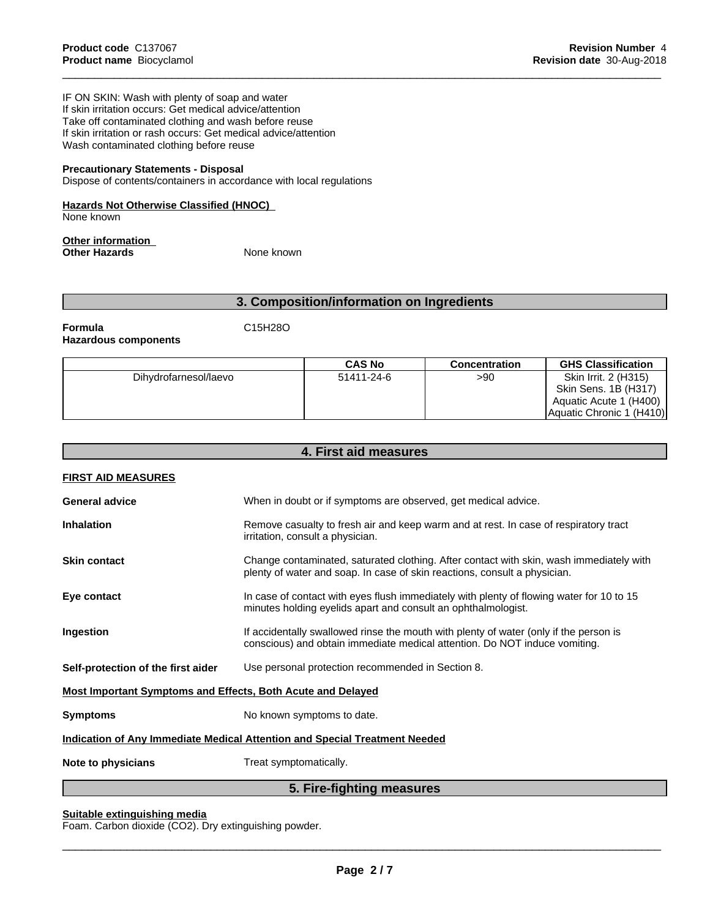IF ON SKIN: Wash with plenty of soap and water If skin irritation occurs: Get medical advice/attention Take off contaminated clothing and wash before reuse If skin irritation or rash occurs: Get medical advice/attention Wash contaminated clothing before reuse

#### **Precautionary Statements - Disposal**

Dispose of contents/containers in accordance with local regulations

#### **Hazards Not Otherwise Classified (HNOC)**

None known

#### **Other information Other Hazards** None known

## **3. Composition/information on Ingredients**

#### **Formula** C15H28O **Hazardous components**

|                       | <b>CAS No</b> | <b>Concentration</b> | <b>GHS Classification</b>                    |
|-----------------------|---------------|----------------------|----------------------------------------------|
| Dihydrofarnesol/laevo | 51411-24-6    | >90                  | Skin Irrit. 2 (H315)<br>Skin Sens. 1B (H317) |
|                       |               |                      | Aquatic Acute 1 (H400)                       |
|                       |               |                      | Aquatic Chronic 1 (H410)                     |

| 4. First aid measures                                                             |                                                                                                                                                                      |  |
|-----------------------------------------------------------------------------------|----------------------------------------------------------------------------------------------------------------------------------------------------------------------|--|
| <b>FIRST AID MEASURES</b>                                                         |                                                                                                                                                                      |  |
| <b>General advice</b>                                                             | When in doubt or if symptoms are observed, get medical advice.                                                                                                       |  |
| <b>Inhalation</b>                                                                 | Remove casualty to fresh air and keep warm and at rest. In case of respiratory tract<br>irritation, consult a physician.                                             |  |
| <b>Skin contact</b>                                                               | Change contaminated, saturated clothing. After contact with skin, wash immediately with<br>plenty of water and soap. In case of skin reactions, consult a physician. |  |
| Eye contact                                                                       | In case of contact with eyes flush immediately with plenty of flowing water for 10 to 15<br>minutes holding eyelids apart and consult an ophthalmologist.            |  |
| Ingestion                                                                         | If accidentally swallowed rinse the mouth with plenty of water (only if the person is<br>conscious) and obtain immediate medical attention. Do NOT induce vomiting.  |  |
| Self-protection of the first aider                                                | Use personal protection recommended in Section 8.                                                                                                                    |  |
| Most Important Symptoms and Effects, Both Acute and Delayed                       |                                                                                                                                                                      |  |
| <b>Symptoms</b>                                                                   | No known symptoms to date.                                                                                                                                           |  |
| <b>Indication of Any Immediate Medical Attention and Special Treatment Needed</b> |                                                                                                                                                                      |  |
| Note to physicians                                                                | Treat symptomatically.                                                                                                                                               |  |
|                                                                                   | $E$ Eive fielding measures                                                                                                                                           |  |

#### **5. Fire-fighting measures**

#### **Suitable extinguishing media**

Foam. Carbon dioxide (CO2). Dry extinguishing powder.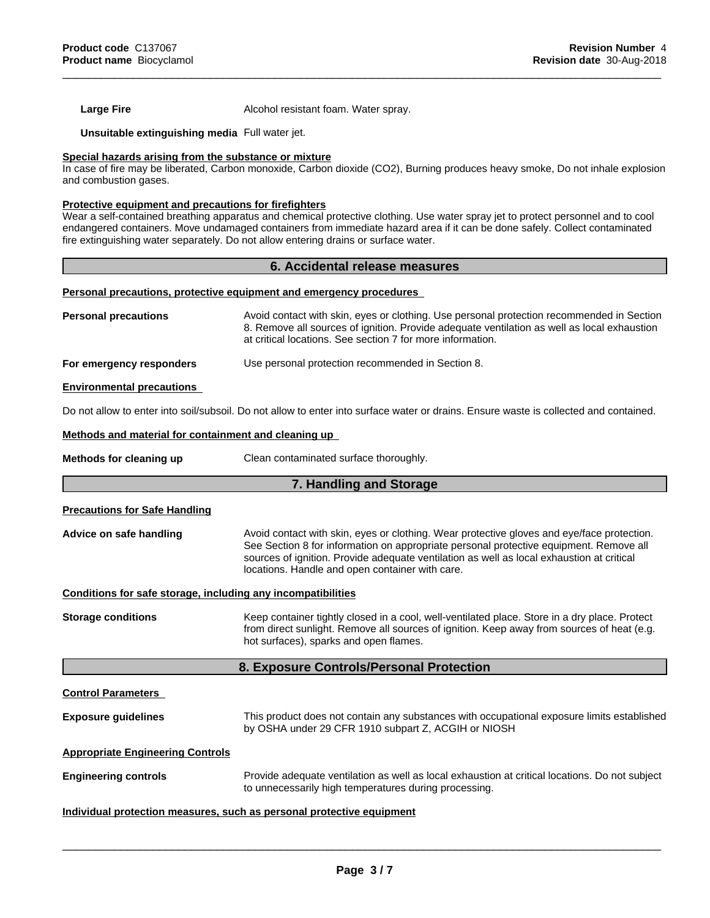**Large Fire Alcohol resistant foam. Water spray.** 

**Unsuitable extinguishing media** Full water jet.

#### **Special hazards arising from the substance or mixture**

In case of fire may be liberated, Carbon monoxide, Carbon dioxide (CO2), Burning produces heavy smoke, Do not inhale explosion and combustion gases.

#### **Protective equipment and precautions for firefighters**

Wear a self-contained breathing apparatus and chemical protective clothing. Use water spray jet to protect personnel and to cool endangered containers. Move undamaged containers from immediate hazard area if it can be done safely. Collect contaminated fire extinguishing water separately. Do not allow entering drains or surface water.

#### **6. Accidental release measures**

#### **Personal precautions, protective equipment and emergency procedures**

| <b>Personal precautions</b>      | Avoid contact with skin, eyes or clothing. Use personal protection recommended in Section<br>8. Remove all sources of ignition. Provide adequate ventilation as well as local exhaustion<br>at critical locations. See section 7 for more information. |
|----------------------------------|--------------------------------------------------------------------------------------------------------------------------------------------------------------------------------------------------------------------------------------------------------|
| For emergency responders         | Use personal protection recommended in Section 8.                                                                                                                                                                                                      |
| <b>Environmental precautions</b> |                                                                                                                                                                                                                                                        |

Do not allow to enter into soil/subsoil. Do not allow to enter into surface water or drains. Ensure waste is collected and contained.

#### **Methods and material for containment and cleaning up**

**Methods for cleaning up** Clean contaminated surface thoroughly.

#### **7. Handling and Storage**

#### **Precautions for Safe Handling**

**Advice on safe handling** Avoid contact with skin, eyes or clothing. Wear protective gloves and eye/face protection. See Section 8 for information on appropriate personal protective equipment. Remove all sources of ignition. Provide adequate ventilation as well as local exhaustion at critical locations. Handle and open container with care.

#### **Conditions for safe storage, including any incompatibilities**

**Storage conditions** Keep container tightly closed in a cool, well-ventilated place. Store in a dry place. Protect from direct sunlight. Remove all sources of ignition. Keep away from sources of heat (e.g. hot surfaces), sparks and open flames.

#### **8. Exposure Controls/Personal Protection**

**Control Parameters**

**Exposure guidelines** This product does not contain any substances with occupational exposure limits established by OSHA under 29 CFR 1910 subpart Z, ACGIH or NIOSH

#### **Appropriate Engineering Controls**

**Engineering controls** Provide adequate ventilation as well as local exhaustion at critical locations. Do not subject to unnecessarily high temperatures during processing.

#### **Individual protection measures, such as personal protective equipment**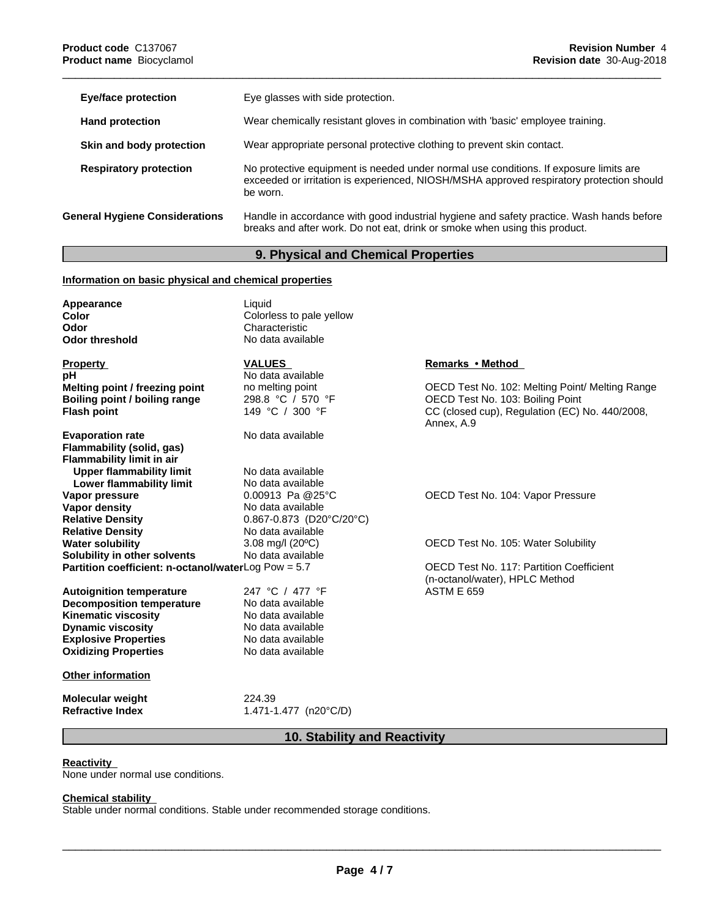| Eye/face protection                   | Eye glasses with side protection.                                                                                                                                                             |
|---------------------------------------|-----------------------------------------------------------------------------------------------------------------------------------------------------------------------------------------------|
| <b>Hand protection</b>                | Wear chemically resistant gloves in combination with 'basic' employee training.                                                                                                               |
| Skin and body protection              | Wear appropriate personal protective clothing to prevent skin contact.                                                                                                                        |
| <b>Respiratory protection</b>         | No protective equipment is needed under normal use conditions. If exposure limits are<br>exceeded or irritation is experienced, NIOSH/MSHA approved respiratory protection should<br>be worn. |
| <b>General Hygiene Considerations</b> | Handle in accordance with good industrial hygiene and safety practice. Wash hands before<br>breaks and after work. Do not eat, drink or smoke when using this product.                        |

### **9. Physical and Chemical Properties**

### **Information on basic physical and chemical properties**

| Appearance<br>Color<br>Odor<br><b>Odor threshold</b>  | Liquid<br>Colorless to pale yellow<br>Characteristic<br>No data available |                                                              |
|-------------------------------------------------------|---------------------------------------------------------------------------|--------------------------------------------------------------|
| <b>Property</b>                                       | <b>VALUES</b>                                                             | Remarks • Method                                             |
| pH                                                    | No data available                                                         |                                                              |
| Melting point / freezing point                        | no melting point                                                          | OECD Test No. 102: Melting Point/ Melting Range              |
| Boiling point / boiling range                         | 298.8 °C / 570 °F                                                         | OECD Test No. 103: Boiling Point                             |
| <b>Flash point</b>                                    | 149 °C / 300 °F                                                           | CC (closed cup), Regulation (EC) No. 440/2008,<br>Annex, A.9 |
| <b>Evaporation rate</b>                               | No data available                                                         |                                                              |
| Flammability (solid, gas)                             |                                                                           |                                                              |
| <b>Flammability limit in air</b>                      |                                                                           |                                                              |
| <b>Upper flammability limit</b>                       | No data available                                                         |                                                              |
| Lower flammability limit                              | No data available                                                         |                                                              |
| Vapor pressure                                        | $0.00913$ Pa @25°C                                                        | OECD Test No. 104: Vapor Pressure                            |
| Vapor density                                         | No data available                                                         |                                                              |
| <b>Relative Density</b>                               | $0.867 - 0.873$ (D20°C/20°C)                                              |                                                              |
| <b>Relative Density</b>                               | No data available                                                         |                                                              |
| <b>Water solubility</b>                               | 3.08 mg/l $(20^{\circ}C)$                                                 | OECD Test No. 105: Water Solubility                          |
| Solubility in other solvents                          | No data available                                                         |                                                              |
| Partition coefficient: n-octanol/waterLog Pow = $5.7$ |                                                                           | <b>OECD Test No. 117: Partition Coefficient</b>              |
|                                                       |                                                                           | (n-octanol/water), HPLC Method                               |
| <b>Autoignition temperature</b>                       | 247 °C / 477 °F                                                           | <b>ASTM E 659</b>                                            |
| <b>Decomposition temperature</b>                      | No data available                                                         |                                                              |
| <b>Kinematic viscosity</b>                            | No data available                                                         |                                                              |
| <b>Dynamic viscosity</b>                              | No data available                                                         |                                                              |
| <b>Explosive Properties</b>                           | No data available                                                         |                                                              |
| <b>Oxidizing Properties</b>                           | No data available                                                         |                                                              |
| <b>Other information</b>                              |                                                                           |                                                              |
| <b>Molecular weight</b>                               | 224.39                                                                    |                                                              |
| <b>Refractive Index</b>                               | 1.471-1.477 (n20 $\degree$ C/D)                                           |                                                              |

### **10. Stability and Reactivity**

#### **Reactivity**

None under normal use conditions.

#### **Chemical stability**

Stable under normal conditions. Stable under recommended storage conditions.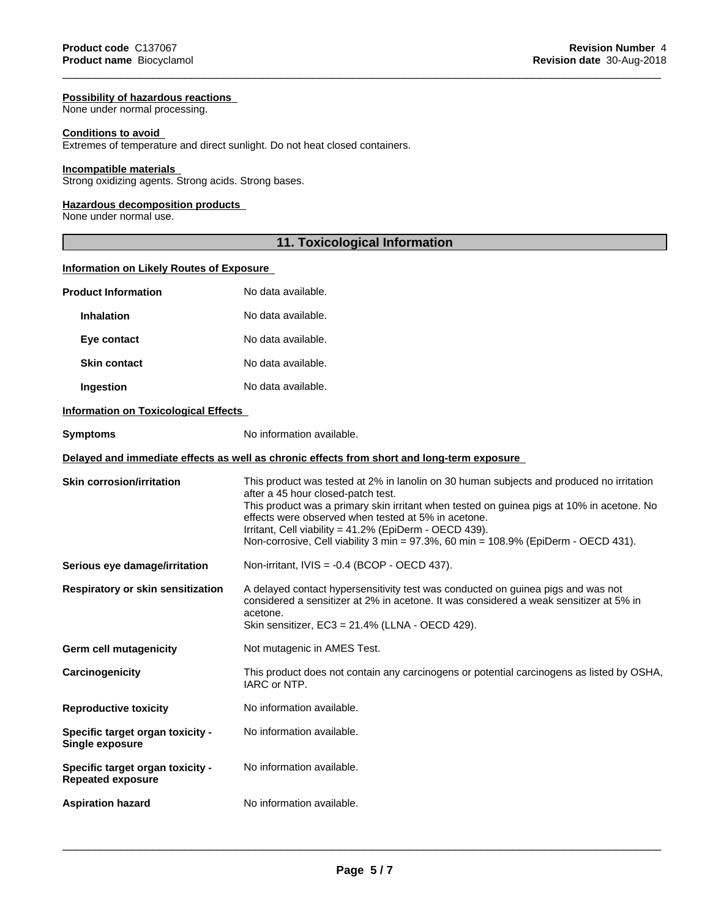#### **Possibility of hazardous reactions**

None under normal processing.

#### **Conditions to avoid**

Extremes of temperature and direct sunlight. Do not heat closed containers.

#### **Incompatible materials**

Strong oxidizing agents. Strong acids. Strong bases.

#### **Hazardous decomposition products**

None under normal use.

#### **11. Toxicological Information**

#### **Information on Likely Routes of Exposure**

| <b>Product Information</b>                                   | No data available.                                                                                                                                                                                                                                                                                                                                                                                                                        |
|--------------------------------------------------------------|-------------------------------------------------------------------------------------------------------------------------------------------------------------------------------------------------------------------------------------------------------------------------------------------------------------------------------------------------------------------------------------------------------------------------------------------|
| <b>Inhalation</b>                                            | No data available.                                                                                                                                                                                                                                                                                                                                                                                                                        |
| Eye contact                                                  | No data available.                                                                                                                                                                                                                                                                                                                                                                                                                        |
| <b>Skin contact</b>                                          | No data available.                                                                                                                                                                                                                                                                                                                                                                                                                        |
| Ingestion                                                    | No data available.                                                                                                                                                                                                                                                                                                                                                                                                                        |
| <b>Information on Toxicological Effects</b>                  |                                                                                                                                                                                                                                                                                                                                                                                                                                           |
| <b>Symptoms</b>                                              | No information available.                                                                                                                                                                                                                                                                                                                                                                                                                 |
|                                                              | Delayed and immediate effects as well as chronic effects from short and long-term exposure                                                                                                                                                                                                                                                                                                                                                |
| <b>Skin corrosion/irritation</b>                             | This product was tested at 2% in lanolin on 30 human subjects and produced no irritation<br>after a 45 hour closed-patch test.<br>This product was a primary skin irritant when tested on guinea pigs at 10% in acetone. No<br>effects were observed when tested at 5% in acetone.<br>Irritant, Cell viability = 41.2% (EpiDerm - OECD 439).<br>Non-corrosive, Cell viability 3 min = $97.3\%$ , 60 min = $108.9\%$ (EpiDerm - OECD 431). |
| Serious eye damage/irritation                                | Non-irritant, IVIS = -0.4 (BCOP - OECD 437).                                                                                                                                                                                                                                                                                                                                                                                              |
| <b>Respiratory or skin sensitization</b>                     | A delayed contact hypersensitivity test was conducted on guinea pigs and was not<br>considered a sensitizer at 2% in acetone. It was considered a weak sensitizer at 5% in<br>acetone.<br>Skin sensitizer, EC3 = 21.4% (LLNA - OECD 429).                                                                                                                                                                                                 |
| <b>Germ cell mutagenicity</b>                                | Not mutagenic in AMES Test.                                                                                                                                                                                                                                                                                                                                                                                                               |
| Carcinogenicity                                              | This product does not contain any carcinogens or potential carcinogens as listed by OSHA,<br>IARC or NTP.                                                                                                                                                                                                                                                                                                                                 |
| <b>Reproductive toxicity</b>                                 | No information available.                                                                                                                                                                                                                                                                                                                                                                                                                 |
| Specific target organ toxicity -<br>Single exposure          | No information available.                                                                                                                                                                                                                                                                                                                                                                                                                 |
| Specific target organ toxicity -<br><b>Repeated exposure</b> | No information available.                                                                                                                                                                                                                                                                                                                                                                                                                 |
| <b>Aspiration hazard</b>                                     | No information available.                                                                                                                                                                                                                                                                                                                                                                                                                 |
|                                                              |                                                                                                                                                                                                                                                                                                                                                                                                                                           |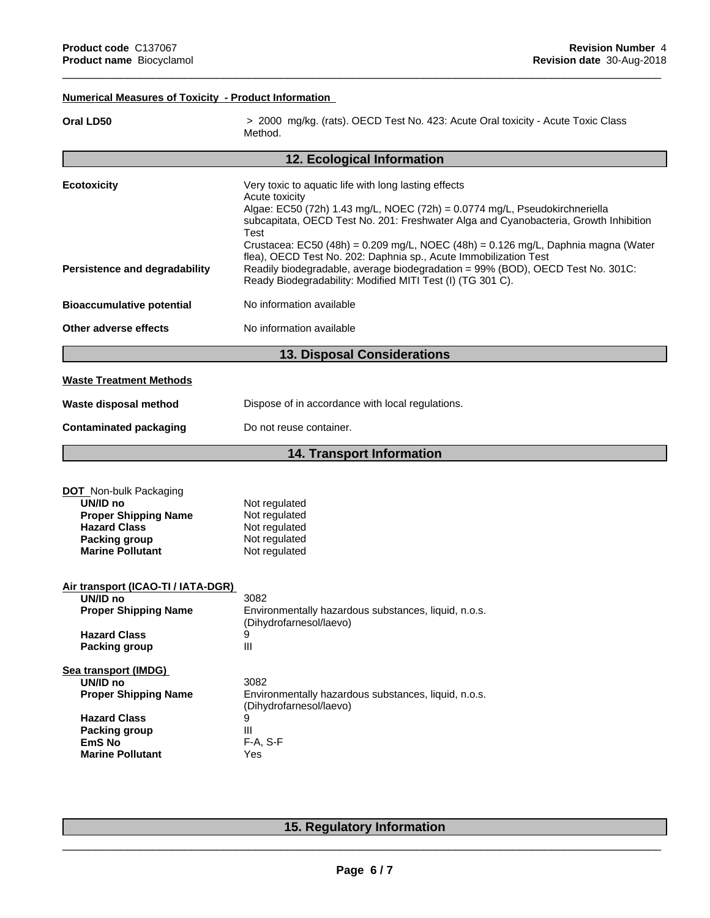### **Numerical Measures of Toxicity - Product Information**

| 12. Ecological Information<br><b>Ecotoxicity</b><br>Very toxic to aquatic life with long lasting effects<br>Acute toxicity<br>Algae: EC50 (72h) 1.43 mg/L, NOEC (72h) = 0.0774 mg/L, Pseudokirchneriella<br>subcapitata, OECD Test No. 201: Freshwater Alga and Cyanobacteria, Growth Inhibition<br>Test<br>Crustacea: EC50 (48h) = $0.209$ mg/L, NOEC (48h) = $0.126$ mg/L, Daphnia magna (Water<br>flea), OECD Test No. 202: Daphnia sp., Acute Immobilization Test<br>Readily biodegradable, average biodegradation = 99% (BOD), OECD Test No. 301C:<br><b>Persistence and degradability</b><br>Ready Biodegradability: Modified MITI Test (I) (TG 301 C).<br>No information available<br><b>Bioaccumulative potential</b> |  |
|-------------------------------------------------------------------------------------------------------------------------------------------------------------------------------------------------------------------------------------------------------------------------------------------------------------------------------------------------------------------------------------------------------------------------------------------------------------------------------------------------------------------------------------------------------------------------------------------------------------------------------------------------------------------------------------------------------------------------------|--|
|                                                                                                                                                                                                                                                                                                                                                                                                                                                                                                                                                                                                                                                                                                                               |  |
|                                                                                                                                                                                                                                                                                                                                                                                                                                                                                                                                                                                                                                                                                                                               |  |
|                                                                                                                                                                                                                                                                                                                                                                                                                                                                                                                                                                                                                                                                                                                               |  |
|                                                                                                                                                                                                                                                                                                                                                                                                                                                                                                                                                                                                                                                                                                                               |  |
| Other adverse effects<br>No information available                                                                                                                                                                                                                                                                                                                                                                                                                                                                                                                                                                                                                                                                             |  |
| <b>13. Disposal Considerations</b>                                                                                                                                                                                                                                                                                                                                                                                                                                                                                                                                                                                                                                                                                            |  |
| <b>Waste Treatment Methods</b>                                                                                                                                                                                                                                                                                                                                                                                                                                                                                                                                                                                                                                                                                                |  |
| Dispose of in accordance with local regulations.<br>Waste disposal method                                                                                                                                                                                                                                                                                                                                                                                                                                                                                                                                                                                                                                                     |  |
| <b>Contaminated packaging</b><br>Do not reuse container.                                                                                                                                                                                                                                                                                                                                                                                                                                                                                                                                                                                                                                                                      |  |
| <b>14. Transport Information</b>                                                                                                                                                                                                                                                                                                                                                                                                                                                                                                                                                                                                                                                                                              |  |
| <b>DOT</b> Non-bulk Packaging<br>UN/ID no<br>Not regulated<br>Not regulated<br><b>Proper Shipping Name</b><br><b>Hazard Class</b><br>Not regulated<br>Packing group<br>Not regulated<br><b>Marine Pollutant</b><br>Not regulated                                                                                                                                                                                                                                                                                                                                                                                                                                                                                              |  |
| Air transport (ICAO-TI / IATA-DGR)<br>UN/ID no<br>3082<br><b>Proper Shipping Name</b><br>Environmentally hazardous substances, liquid, n.o.s.<br>(Dihydrofarnesol/laevo)<br><b>Hazard Class</b><br>9<br>III<br><b>Packing group</b>                                                                                                                                                                                                                                                                                                                                                                                                                                                                                           |  |
| Sea transport (IMDG)<br>UN/ID no<br>3082<br><b>Proper Shipping Name</b><br>Environmentally hazardous substances, liquid, n.o.s.<br>(Dihydrofarnesol/laevo)<br><b>Hazard Class</b><br>9<br>Ш<br><b>Packing group</b><br>F-A, S-F<br><b>EmS No</b><br><b>Marine Pollutant</b><br>Yes                                                                                                                                                                                                                                                                                                                                                                                                                                            |  |

### **15. Regulatory Information**